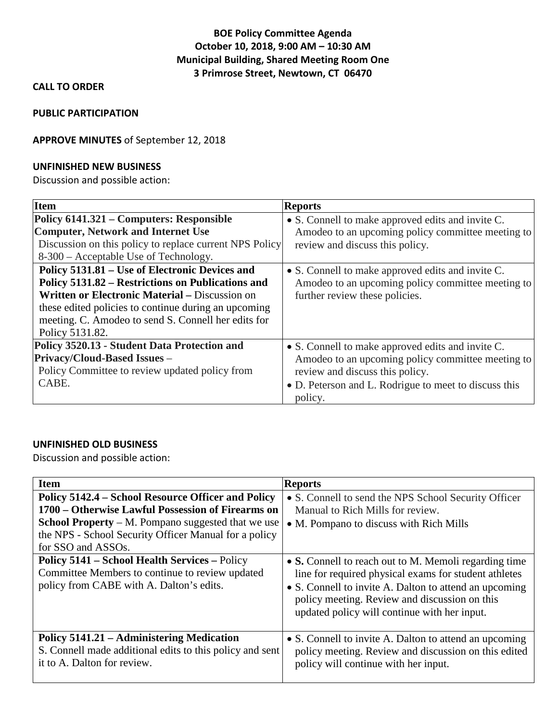# **BOE Policy Committee Agenda October 10, 2018, 9:00 AM – 10:30 AM Municipal Building, Shared Meeting Room One 3 Primrose Street, Newtown, CT 06470**

## **CALL TO ORDER**

#### **PUBLIC PARTICIPATION**

## **APPROVE MINUTES** of September 12, 2018

#### **UNFINISHED NEW BUSINESS**

Discussion and possible action:

| <b>Item</b>                                             | <b>Reports</b>                                        |
|---------------------------------------------------------|-------------------------------------------------------|
| Policy 6141.321 – Computers: Responsible                | • S. Connell to make approved edits and invite C.     |
| <b>Computer, Network and Internet Use</b>               | Amodeo to an upcoming policy committee meeting to     |
| Discussion on this policy to replace current NPS Policy | review and discuss this policy.                       |
| 8-300 – Acceptable Use of Technology.                   |                                                       |
| Policy 5131.81 – Use of Electronic Devices and          | • S. Connell to make approved edits and invite C.     |
| Policy 5131.82 – Restrictions on Publications and       | Amodeo to an upcoming policy committee meeting to     |
| <b>Written or Electronic Material – Discussion on</b>   | further review these policies.                        |
| these edited policies to continue during an upcoming    |                                                       |
| meeting. C. Amodeo to send S. Connell her edits for     |                                                       |
| Policy 5131.82.                                         |                                                       |
| Policy 3520.13 - Student Data Protection and            | • S. Connell to make approved edits and invite C.     |
| <b>Privacy/Cloud-Based Issues -</b>                     | Amodeo to an upcoming policy committee meeting to     |
| Policy Committee to review updated policy from          | review and discuss this policy.                       |
| CABE.                                                   | • D. Peterson and L. Rodrigue to meet to discuss this |
|                                                         | policy.                                               |

## **UNFINISHED OLD BUSINESS**

Discussion and possible action:

| <b>Item</b>                                                                                                                                                                                                                                         | <b>Reports</b>                                                                                                                                                                                                                                                            |
|-----------------------------------------------------------------------------------------------------------------------------------------------------------------------------------------------------------------------------------------------------|---------------------------------------------------------------------------------------------------------------------------------------------------------------------------------------------------------------------------------------------------------------------------|
| Policy 5142.4 – School Resource Officer and Policy<br>1700 – Otherwise Lawful Possession of Firearms on<br><b>School Property</b> – M. Pompano suggested that we use<br>the NPS - School Security Officer Manual for a policy<br>for SSO and ASSOs. | • S. Connell to send the NPS School Security Officer<br>Manual to Rich Mills for review.<br>• M. Pompano to discuss with Rich Mills                                                                                                                                       |
| <b>Policy 5141 – School Health Services – Policy</b><br>Committee Members to continue to review updated<br>policy from CABE with A. Dalton's edits.                                                                                                 | • S. Connell to reach out to M. Memoli regarding time<br>line for required physical exams for student athletes<br>• S. Connell to invite A. Dalton to attend an upcoming<br>policy meeting. Review and discussion on this<br>updated policy will continue with her input. |
| Policy 5141.21 – Administering Medication<br>S. Connell made additional edits to this policy and sent<br>it to A. Dalton for review.                                                                                                                | • S. Connell to invite A. Dalton to attend an upcoming<br>policy meeting. Review and discussion on this edited<br>policy will continue with her input.                                                                                                                    |